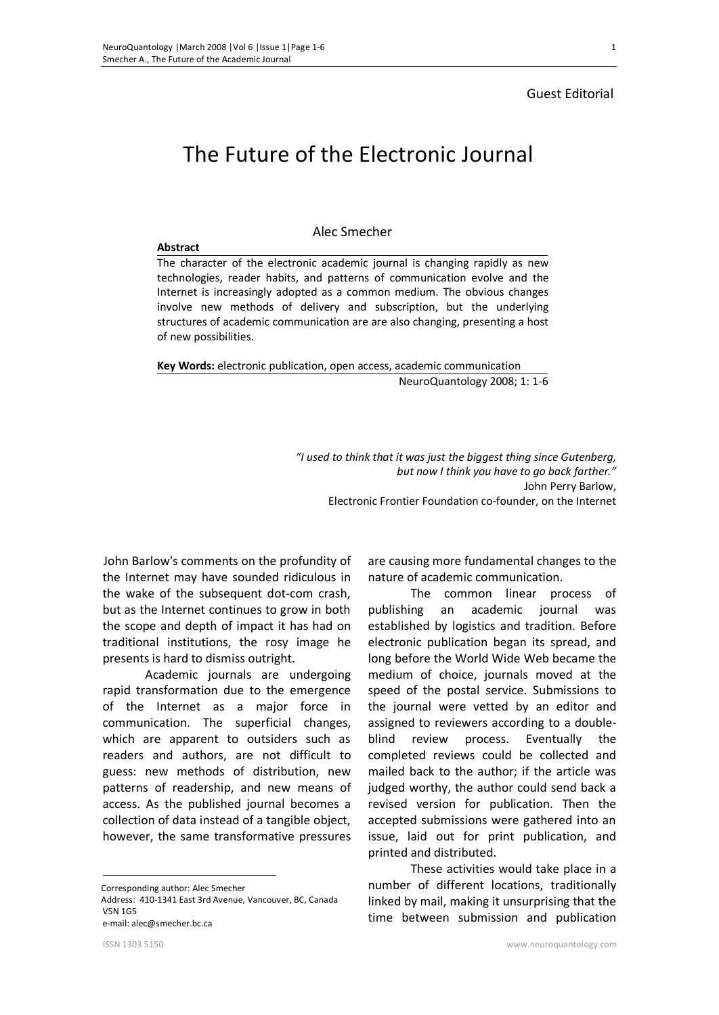## Guest Editorial

**Abstract** 

# The Future of the Electronic Journal

# Alec Smecher

The character of the electronic academic journal is changing rapidly as new technologies, reader habits, and patterns of communication evolve and the Internet is increasingly adopted as a common medium. The obvious changes involve new methods of delivery and subscription, but the underlying structures of academic communication are are also changing, presenting a host of new possibilities.

**Key Words:** electronic publication, open access, academic communication NeuroQuantology 2008; 1: 1-6

> *"I used to think that it was just the biggest thing since Gutenberg, but now I think you have to go back farther."*  John Perry Barlow, Electronic Frontier Foundation co-founder, on the Internet

 John Barlow's comments on the profundity of the Internet may have sounded ridiculous in the wake of the subsequent dot-com crash, but as the Internet continues to grow in both the scope and depth of impact it has had on traditional institutions, the rosy image he presents is hard to dismiss outright.

Academic journals are undergoing rapid transformation due to the emergence of the Internet as a major force in communication. The superficial changes, which are apparent to outsiders such as readers and authors, are not difficult to guess: new methods of distribution, new patterns of readership, and new means of access. As the published journal becomes a collection of data instead of a tangible object, however, the same transformative pressures

 $\overline{a}$  Corresponding author: Alec Smecher Address: 410-1341 East 3rd Avenue, Vancouver, BC, Canada V5N 1G5 e-mail: alec@smecher.bc.ca

are causing more fundamental changes to the nature of academic communication.

The common linear process of publishing an academic journal was established by logistics and tradition. Before electronic publication began its spread, and long before the World Wide Web became the medium of choice, journals moved at the speed of the postal service. Submissions to the journal were vetted by an editor and assigned to reviewers according to a doubleblind review process. Eventually the completed reviews could be collected and mailed back to the author; if the article was judged worthy, the author could send back a revised version for publication. Then the accepted submissions were gathered into an issue, laid out for print publication, and printed and distributed.

These activities would take place in a number of different locations, traditionally linked by mail, making it unsurprising that the time between submission and publication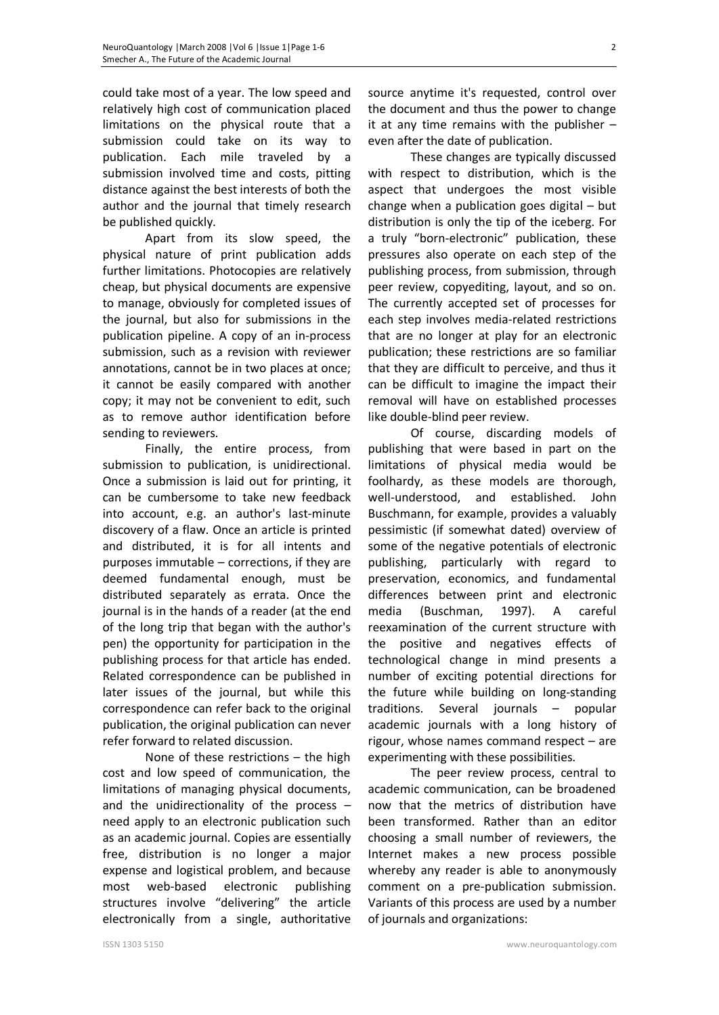could take most of a year. The low speed and relatively high cost of communication placed limitations on the physical route that a submission could take on its way to publication. Each mile traveled by a submission involved time and costs, pitting distance against the best interests of both the author and the journal that timely research be published quickly.

Apart from its slow speed, the physical nature of print publication adds further limitations. Photocopies are relatively cheap, but physical documents are expensive to manage, obviously for completed issues of the journal, but also for submissions in the publication pipeline. A copy of an in-process submission, such as a revision with reviewer annotations, cannot be in two places at once; it cannot be easily compared with another copy; it may not be convenient to edit, such as to remove author identification before sending to reviewers.

Finally, the entire process, from submission to publication, is unidirectional. Once a submission is laid out for printing, it can be cumbersome to take new feedback into account, e.g. an author's last-minute discovery of a flaw. Once an article is printed and distributed, it is for all intents and purposes immutable – corrections, if they are deemed fundamental enough, must be distributed separately as errata. Once the journal is in the hands of a reader (at the end of the long trip that began with the author's pen) the opportunity for participation in the publishing process for that article has ended. Related correspondence can be published in later issues of the journal, but while this correspondence can refer back to the original publication, the original publication can never refer forward to related discussion.

None of these restrictions – the high cost and low speed of communication, the limitations of managing physical documents, and the unidirectionality of the process  $$ need apply to an electronic publication such as an academic journal. Copies are essentially free, distribution is no longer a major expense and logistical problem, and because most web-based electronic publishing structures involve "delivering" the article electronically from a single, authoritative

source anytime it's requested, control over the document and thus the power to change it at any time remains with the publisher  $$ even after the date of publication.

These changes are typically discussed with respect to distribution, which is the aspect that undergoes the most visible change when a publication goes digital – but distribution is only the tip of the iceberg. For a truly "born-electronic" publication, these pressures also operate on each step of the publishing process, from submission, through peer review, copyediting, layout, and so on. The currently accepted set of processes for each step involves media-related restrictions that are no longer at play for an electronic publication; these restrictions are so familiar that they are difficult to perceive, and thus it can be difficult to imagine the impact their removal will have on established processes like double-blind peer review.

Of course, discarding models of publishing that were based in part on the limitations of physical media would be foolhardy, as these models are thorough, well-understood, and established. John Buschmann, for example, provides a valuably pessimistic (if somewhat dated) overview of some of the negative potentials of electronic publishing, particularly with regard to preservation, economics, and fundamental differences between print and electronic media (Buschman, 1997). A careful reexamination of the current structure with the positive and negatives effects of technological change in mind presents a number of exciting potential directions for the future while building on long-standing traditions. Several journals – popular academic journals with a long history of rigour, whose names command respect – are experimenting with these possibilities.

The peer review process, central to academic communication, can be broadened now that the metrics of distribution have been transformed. Rather than an editor choosing a small number of reviewers, the Internet makes a new process possible whereby any reader is able to anonymously comment on a pre-publication submission. Variants of this process are used by a number of journals and organizations: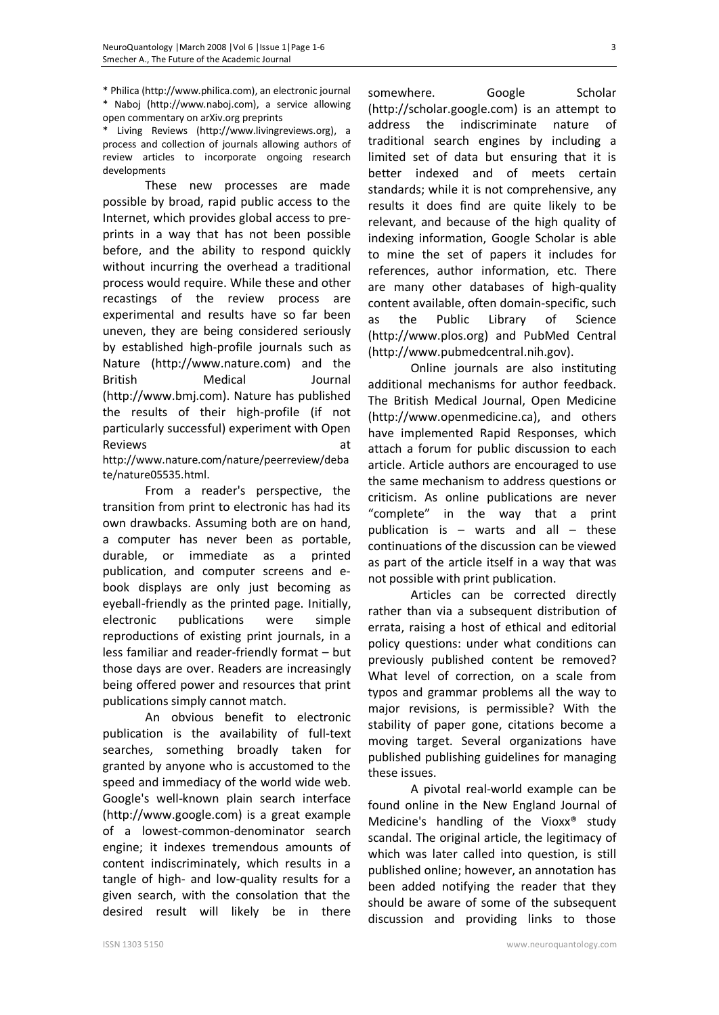\* Philica (http://www.philica.com), an electronic journal \* Naboj (http://www.naboj.com), a service allowing

open commentary on arXiv.org preprints Living Reviews (http://www.livingreviews.org), a process and collection of journals allowing authors of

review articles to incorporate ongoing research developments

These new processes are made possible by broad, rapid public access to the Internet, which provides global access to preprints in a way that has not been possible before, and the ability to respond quickly without incurring the overhead a traditional process would require. While these and other recastings of the review process are experimental and results have so far been uneven, they are being considered seriously by established high-profile journals such as Nature (http://www.nature.com) and the British Medical Journal (http://www.bmj.com). Nature has published the results of their high-profile (if not particularly successful) experiment with Open Reviews at the set of the set of the set of the set of the set of the set of the set of the set of the set of the set of the set of the set of the set of the set of the set of the set of the set of the set of the set of th

http://www.nature.com/nature/peerreview/deba te/nature05535.html.

From a reader's perspective, the transition from print to electronic has had its own drawbacks. Assuming both are on hand, a computer has never been as portable, durable, or immediate as a printed publication, and computer screens and ebook displays are only just becoming as eyeball-friendly as the printed page. Initially, electronic publications were simple reproductions of existing print journals, in a less familiar and reader-friendly format – but those days are over. Readers are increasingly being offered power and resources that print publications simply cannot match.

An obvious benefit to electronic publication is the availability of full-text searches, something broadly taken for granted by anyone who is accustomed to the speed and immediacy of the world wide web. Google's well-known plain search interface (http://www.google.com) is a great example of a lowest-common-denominator search engine; it indexes tremendous amounts of content indiscriminately, which results in a tangle of high- and low-quality results for a given search, with the consolation that the desired result will likely be in there

somewhere. Google Scholar (http://scholar.google.com) is an attempt to address the indiscriminate nature of traditional search engines by including a limited set of data but ensuring that it is better indexed and of meets certain standards; while it is not comprehensive, any results it does find are quite likely to be relevant, and because of the high quality of indexing information, Google Scholar is able to mine the set of papers it includes for references, author information, etc. There are many other databases of high-quality content available, often domain-specific, such as the Public Library of Science (http://www.plos.org) and PubMed Central (http://www.pubmedcentral.nih.gov).

Online journals are also instituting additional mechanisms for author feedback. The British Medical Journal, Open Medicine (http://www.openmedicine.ca), and others have implemented Rapid Responses, which attach a forum for public discussion to each article. Article authors are encouraged to use the same mechanism to address questions or criticism. As online publications are never "complete" in the way that a print publication is  $-$  warts and all  $-$  these continuations of the discussion can be viewed as part of the article itself in a way that was not possible with print publication.

Articles can be corrected directly rather than via a subsequent distribution of errata, raising a host of ethical and editorial policy questions: under what conditions can previously published content be removed? What level of correction, on a scale from typos and grammar problems all the way to major revisions, is permissible? With the stability of paper gone, citations become a moving target. Several organizations have published publishing guidelines for managing these issues.

A pivotal real-world example can be found online in the New England Journal of Medicine's handling of the Vioxx® study scandal. The original article, the legitimacy of which was later called into question, is still published online; however, an annotation has been added notifying the reader that they should be aware of some of the subsequent discussion and providing links to those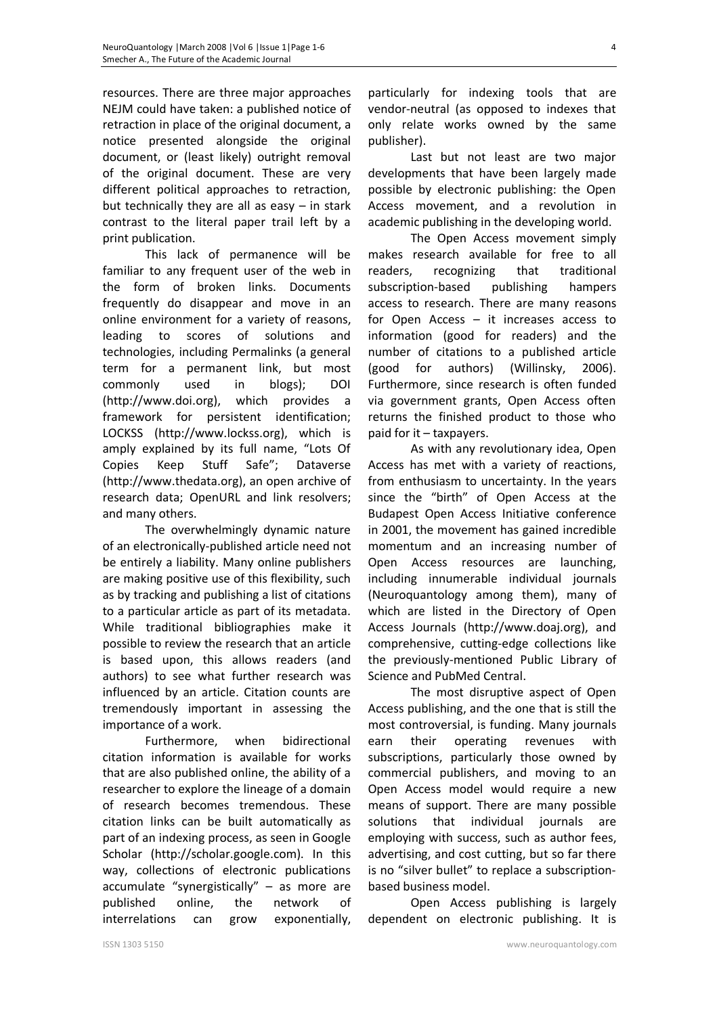resources. There are three major approaches NEJM could have taken: a published notice of retraction in place of the original document, a notice presented alongside the original document, or (least likely) outright removal of the original document. These are very different political approaches to retraction, but technically they are all as easy – in stark contrast to the literal paper trail left by a print publication.

This lack of permanence will be familiar to any frequent user of the web in the form of broken links. Documents frequently do disappear and move in an online environment for a variety of reasons, leading to scores of solutions and technologies, including Permalinks (a general term for a permanent link, but most commonly used in blogs); DOI (http://www.doi.org), which provides a framework for persistent identification; LOCKSS (http://www.lockss.org), which is amply explained by its full name, "Lots Of Copies Keep Stuff Safe"; Dataverse (http://www.thedata.org), an open archive of research data; OpenURL and link resolvers; and many others.

The overwhelmingly dynamic nature of an electronically-published article need not be entirely a liability. Many online publishers are making positive use of this flexibility, such as by tracking and publishing a list of citations to a particular article as part of its metadata. While traditional bibliographies make it possible to review the research that an article is based upon, this allows readers (and authors) to see what further research was influenced by an article. Citation counts are tremendously important in assessing the importance of a work.

Furthermore, when bidirectional citation information is available for works that are also published online, the ability of a researcher to explore the lineage of a domain of research becomes tremendous. These citation links can be built automatically as part of an indexing process, as seen in Google Scholar (http://scholar.google.com). In this way, collections of electronic publications accumulate "synergistically" – as more are published online, the network of interrelations can grow exponentially,

particularly for indexing tools that are vendor-neutral (as opposed to indexes that only relate works owned by the same publisher).

Last but not least are two major developments that have been largely made possible by electronic publishing: the Open Access movement, and a revolution in academic publishing in the developing world.

The Open Access movement simply makes research available for free to all readers, recognizing that traditional subscription-based publishing hampers access to research. There are many reasons for Open Access – it increases access to information (good for readers) and the number of citations to a published article (good for authors) (Willinsky, 2006). Furthermore, since research is often funded via government grants, Open Access often returns the finished product to those who paid for it – taxpayers.

As with any revolutionary idea, Open Access has met with a variety of reactions, from enthusiasm to uncertainty. In the years since the "birth" of Open Access at the Budapest Open Access Initiative conference in 2001, the movement has gained incredible momentum and an increasing number of Open Access resources are launching, including innumerable individual journals (Neuroquantology among them), many of which are listed in the Directory of Open Access Journals (http://www.doaj.org), and comprehensive, cutting-edge collections like the previously-mentioned Public Library of Science and PubMed Central.

The most disruptive aspect of Open Access publishing, and the one that is still the most controversial, is funding. Many journals earn their operating revenues with subscriptions, particularly those owned by commercial publishers, and moving to an Open Access model would require a new means of support. There are many possible solutions that individual journals are employing with success, such as author fees, advertising, and cost cutting, but so far there is no "silver bullet" to replace a subscriptionbased business model.

Open Access publishing is largely dependent on electronic publishing. It is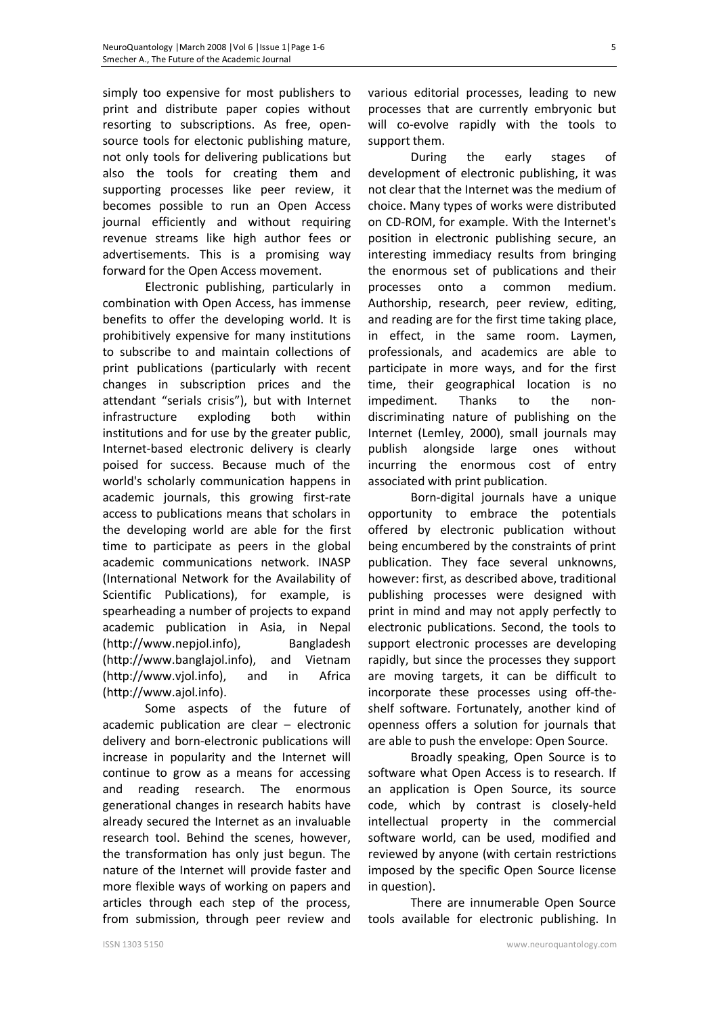simply too expensive for most publishers to print and distribute paper copies without resorting to subscriptions. As free, opensource tools for electonic publishing mature, not only tools for delivering publications but also the tools for creating them and supporting processes like peer review, it becomes possible to run an Open Access journal efficiently and without requiring revenue streams like high author fees or advertisements. This is a promising way forward for the Open Access movement.

Electronic publishing, particularly in combination with Open Access, has immense benefits to offer the developing world. It is prohibitively expensive for many institutions to subscribe to and maintain collections of print publications (particularly with recent changes in subscription prices and the attendant "serials crisis"), but with Internet infrastructure exploding both within institutions and for use by the greater public, Internet-based electronic delivery is clearly poised for success. Because much of the world's scholarly communication happens in academic journals, this growing first-rate access to publications means that scholars in the developing world are able for the first time to participate as peers in the global academic communications network. INASP (International Network for the Availability of Scientific Publications), for example, is spearheading a number of projects to expand academic publication in Asia, in Nepal (http://www.nepjol.info), Bangladesh (http://www.banglajol.info), and Vietnam (http://www.vjol.info), and in Africa (http://www.ajol.info).

Some aspects of the future of academic publication are clear – electronic delivery and born-electronic publications will increase in popularity and the Internet will continue to grow as a means for accessing and reading research. The enormous generational changes in research habits have already secured the Internet as an invaluable research tool. Behind the scenes, however, the transformation has only just begun. The nature of the Internet will provide faster and more flexible ways of working on papers and articles through each step of the process, from submission, through peer review and

various editorial processes, leading to new processes that are currently embryonic but will co-evolve rapidly with the tools to support them.

During the early stages of development of electronic publishing, it was not clear that the Internet was the medium of choice. Many types of works were distributed on CD-ROM, for example. With the Internet's position in electronic publishing secure, an interesting immediacy results from bringing the enormous set of publications and their processes onto a common medium. Authorship, research, peer review, editing, and reading are for the first time taking place, in effect, in the same room. Laymen, professionals, and academics are able to participate in more ways, and for the first time, their geographical location is no impediment. Thanks to the nondiscriminating nature of publishing on the Internet (Lemley, 2000), small journals may publish alongside large ones without incurring the enormous cost of entry associated with print publication.

Born-digital journals have a unique opportunity to embrace the potentials offered by electronic publication without being encumbered by the constraints of print publication. They face several unknowns, however: first, as described above, traditional publishing processes were designed with print in mind and may not apply perfectly to electronic publications. Second, the tools to support electronic processes are developing rapidly, but since the processes they support are moving targets, it can be difficult to incorporate these processes using off-theshelf software. Fortunately, another kind of openness offers a solution for journals that are able to push the envelope: Open Source.

Broadly speaking, Open Source is to software what Open Access is to research. If an application is Open Source, its source code, which by contrast is closely-held intellectual property in the commercial software world, can be used, modified and reviewed by anyone (with certain restrictions imposed by the specific Open Source license in question).

There are innumerable Open Source tools available for electronic publishing. In